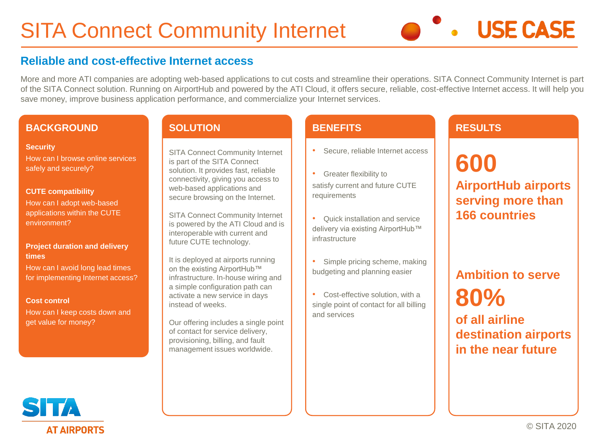# **Reliable and cost-effective Internet access**

More and more ATI companies are adopting web-based applications to cut costs and streamline their operations. SITA Connect Community Internet is part of the SITA Connect solution. Running on AirportHub and powered by the ATI Cloud, it offers secure, reliable, cost-effective Internet access. It will help you save money, improve business application performance, and commercialize your Internet services.

### **BACKGROUND**

#### **Security**

How can I browse online services safely and securely?

### **CUTE compatibility**

How can I adopt web-based applications within the CUTE environment?

### **Project duration and delivery times**

How can I avoid long lead times for implementing Internet access?

### **Cost control**

How can I keep costs down and get value for money?

### **SOLUTION**

SITA Connect Community Internet is part of the SITA Connect solution. It provides fast, reliable connectivity, giving you access to web-based applications and secure browsing on the Internet.

SITA Connect Community Internet is powered by the ATI Cloud and is interoperable with current and future CUTE technology.

It is deployed at airports running on the existing AirportHub™ infrastructure. In-house wiring and a simple configuration path can activate a new service in days instead of weeks.

Our offering includes a single point of contact for service delivery, provisioning, billing, and fault management issues worldwide.

## **BENEFITS**

- Secure, reliable Internet access
- Greater flexibility to satisfy current and future CUTE requirements

• Quick installation and service delivery via existing AirportHub™ infrastructure

• Simple pricing scheme, making budgeting and planning easier

• Cost-effective solution, with a single point of contact for all billing and services

# **RESULTS**

# **600 AirportHub airports serving more than 166 countries**

**USE CASE** 

# **Ambition to serve 80% of all airline destination airports in the near future**